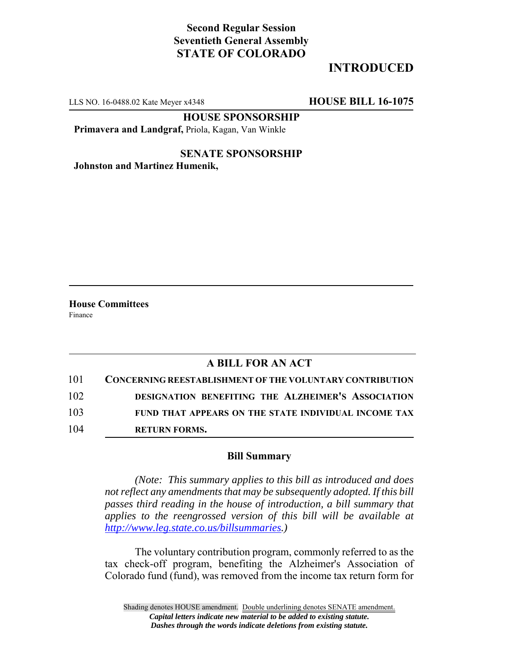### **Second Regular Session Seventieth General Assembly STATE OF COLORADO**

# **INTRODUCED**

LLS NO. 16-0488.02 Kate Meyer x4348 **HOUSE BILL 16-1075**

**HOUSE SPONSORSHIP**

**Primavera and Landgraf,** Priola, Kagan, Van Winkle

#### **SENATE SPONSORSHIP Johnston and Martinez Humenik,**

**House Committees**

Finance

## **A BILL FOR AN ACT**

| 101 | <b>CONCERNING REESTABLISHMENT OF THE VOLUNTARY CONTRIBUTION</b> |
|-----|-----------------------------------------------------------------|
| 102 | DESIGNATION BENEFITING THE ALZHEIMER'S ASSOCIATION              |
| 103 | FUND THAT APPEARS ON THE STATE INDIVIDUAL INCOME TAX            |
| 104 | <b>RETURN FORMS.</b>                                            |

### **Bill Summary**

*(Note: This summary applies to this bill as introduced and does not reflect any amendments that may be subsequently adopted. If this bill passes third reading in the house of introduction, a bill summary that applies to the reengrossed version of this bill will be available at http://www.leg.state.co.us/billsummaries.)*

The voluntary contribution program, commonly referred to as the tax check-off program, benefiting the Alzheimer's Association of Colorado fund (fund), was removed from the income tax return form for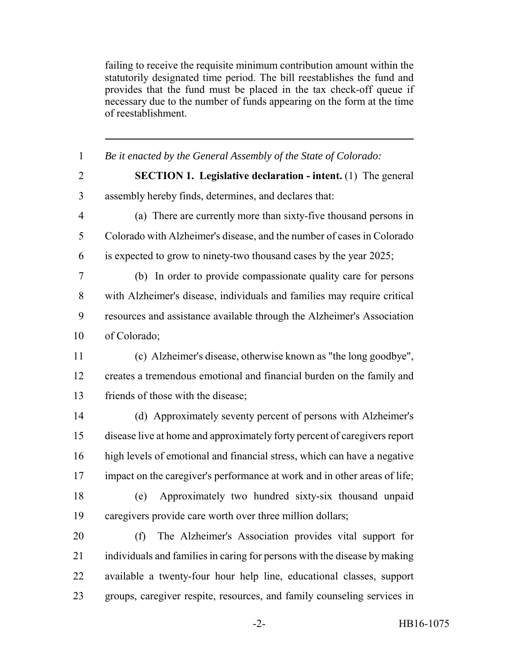failing to receive the requisite minimum contribution amount within the statutorily designated time period. The bill reestablishes the fund and provides that the fund must be placed in the tax check-off queue if necessary due to the number of funds appearing on the form at the time of reestablishment.

 *Be it enacted by the General Assembly of the State of Colorado:* **SECTION 1. Legislative declaration - intent.** (1) The general assembly hereby finds, determines, and declares that: (a) There are currently more than sixty-five thousand persons in Colorado with Alzheimer's disease, and the number of cases in Colorado is expected to grow to ninety-two thousand cases by the year 2025; (b) In order to provide compassionate quality care for persons with Alzheimer's disease, individuals and families may require critical resources and assistance available through the Alzheimer's Association of Colorado; (c) Alzheimer's disease, otherwise known as "the long goodbye", creates a tremendous emotional and financial burden on the family and friends of those with the disease; (d) Approximately seventy percent of persons with Alzheimer's disease live at home and approximately forty percent of caregivers report high levels of emotional and financial stress, which can have a negative impact on the caregiver's performance at work and in other areas of life; (e) Approximately two hundred sixty-six thousand unpaid caregivers provide care worth over three million dollars; (f) The Alzheimer's Association provides vital support for individuals and families in caring for persons with the disease by making available a twenty-four hour help line, educational classes, support groups, caregiver respite, resources, and family counseling services in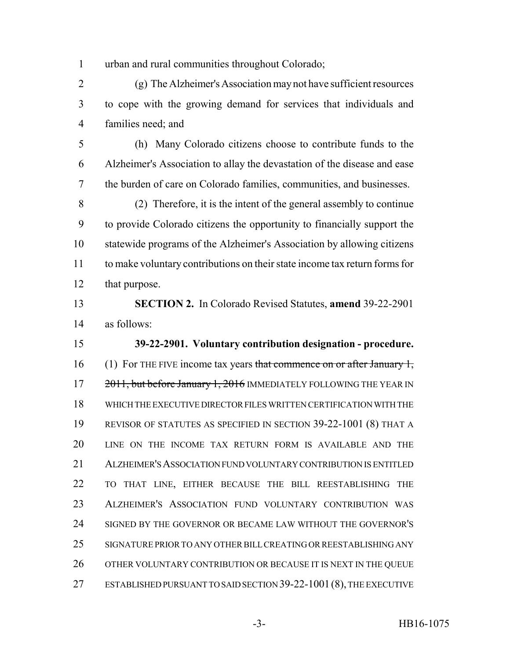urban and rural communities throughout Colorado;

 (g) The Alzheimer's Association may not have sufficient resources to cope with the growing demand for services that individuals and families need; and

 (h) Many Colorado citizens choose to contribute funds to the Alzheimer's Association to allay the devastation of the disease and ease the burden of care on Colorado families, communities, and businesses.

 (2) Therefore, it is the intent of the general assembly to continue to provide Colorado citizens the opportunity to financially support the statewide programs of the Alzheimer's Association by allowing citizens to make voluntary contributions on their state income tax return forms for that purpose.

 **SECTION 2.** In Colorado Revised Statutes, **amend** 39-22-2901 as follows:

 **39-22-2901. Voluntary contribution designation - procedure.** 16 (1) For THE FIVE income tax years that commence on or after January 1, 17 2011, but before January 1, 2016 IMMEDIATELY FOLLOWING THE YEAR IN WHICH THE EXECUTIVE DIRECTOR FILES WRITTEN CERTIFICATION WITH THE REVISOR OF STATUTES AS SPECIFIED IN SECTION 39-22-1001 (8) THAT A LINE ON THE INCOME TAX RETURN FORM IS AVAILABLE AND THE ALZHEIMER'S ASSOCIATION FUND VOLUNTARY CONTRIBUTION IS ENTITLED TO THAT LINE, EITHER BECAUSE THE BILL REESTABLISHING THE ALZHEIMER'S ASSOCIATION FUND VOLUNTARY CONTRIBUTION WAS SIGNED BY THE GOVERNOR OR BECAME LAW WITHOUT THE GOVERNOR'S SIGNATURE PRIOR TO ANY OTHER BILL CREATING OR REESTABLISHING ANY 26 OTHER VOLUNTARY CONTRIBUTION OR BECAUSE IT IS NEXT IN THE QUEUE 27 ESTABLISHED PURSUANT TO SAID SECTION 39-22-1001 (8), THE EXECUTIVE